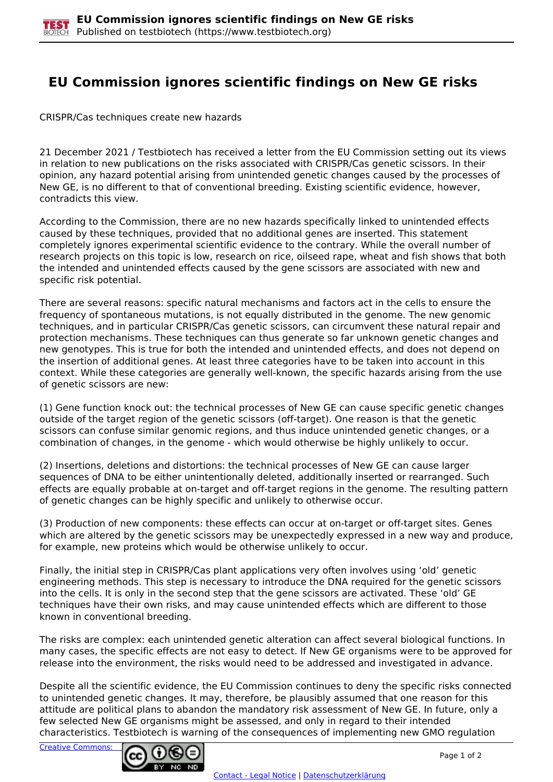## **EU Commission ignores scientific findings on New GE risks**

CRISPR/Cas techniques create new hazards

21 December 2021 / Testbiotech has received a letter from the EU Commission setting out its views in relation to new publications on the risks associated with CRISPR/Cas genetic scissors. In their opinion, any hazard potential arising from unintended genetic changes caused by the processes of New GE, is no different to that of conventional breeding. Existing scientific evidence, however, contradicts this view.

According to the Commission, there are no new hazards specifically linked to unintended effects caused by these techniques, provided that no additional genes are inserted. This statement completely ignores experimental scientific evidence to the contrary. While the overall number of research projects on this topic is low, research on rice, oilseed rape, wheat and fish shows that both the intended and unintended effects caused by the gene scissors are associated with new and specific risk potential.

There are several reasons: specific natural mechanisms and factors act in the cells to ensure the frequency of spontaneous mutations, is not equally distributed in the genome. The new genomic techniques, and in particular CRISPR/Cas genetic scissors, can circumvent these natural repair and protection mechanisms. These techniques can thus generate so far unknown genetic changes and new genotypes. This is true for both the intended and unintended effects, and does not depend on the insertion of additional genes. At least three categories have to be taken into account in this context. While these categories are generally well-known, the specific hazards arising from the use of genetic scissors are new:

(1) Gene function knock out: the technical processes of New GE can cause specific genetic changes outside of the target region of the genetic scissors (off-target). One reason is that the genetic scissors can confuse similar genomic regions, and thus induce unintended genetic changes, or a combination of changes, in the genome - which would otherwise be highly unlikely to occur.

(2) Insertions, deletions and distortions: the technical processes of New GE can cause larger sequences of DNA to be either unintentionally deleted, additionally inserted or rearranged. Such effects are equally probable at on-target and off-target regions in the genome. The resulting pattern of genetic changes can be highly specific and unlikely to otherwise occur.

(3) Production of new components: these effects can occur at on-target or off-target sites. Genes which are altered by the genetic scissors may be unexpectedly expressed in a new way and produce, for example, new proteins which would be otherwise unlikely to occur.

Finally, the initial step in CRISPR/Cas plant applications very often involves using 'old' genetic engineering methods. This step is necessary to introduce the DNA required for the genetic scissors into the cells. It is only in the second step that the gene scissors are activated. These 'old' GE techniques have their own risks, and may cause unintended effects which are different to those known in conventional breeding.

The risks are complex: each unintended genetic alteration can affect several biological functions. In many cases, the specific effects are not easy to detect. If New GE organisms were to be approved for release into the environment, the risks would need to be addressed and investigated in advance.

Despite all the scientific evidence, the EU Commission continues to deny the specific risks connected to unintended genetic changes. It may, therefore, be plausibly assumed that one reason for this attitude are political plans to abandon the mandatory risk assessment of New GE. In future, only a few selected New GE organisms might be assessed, and only in regard to their intended characteristics. Testbiotech is warning of the consequences of implementing new GMO regulation

[Creative Commons:](http://creativecommons.org/licenses/by-nc-nd/3.0/de/)